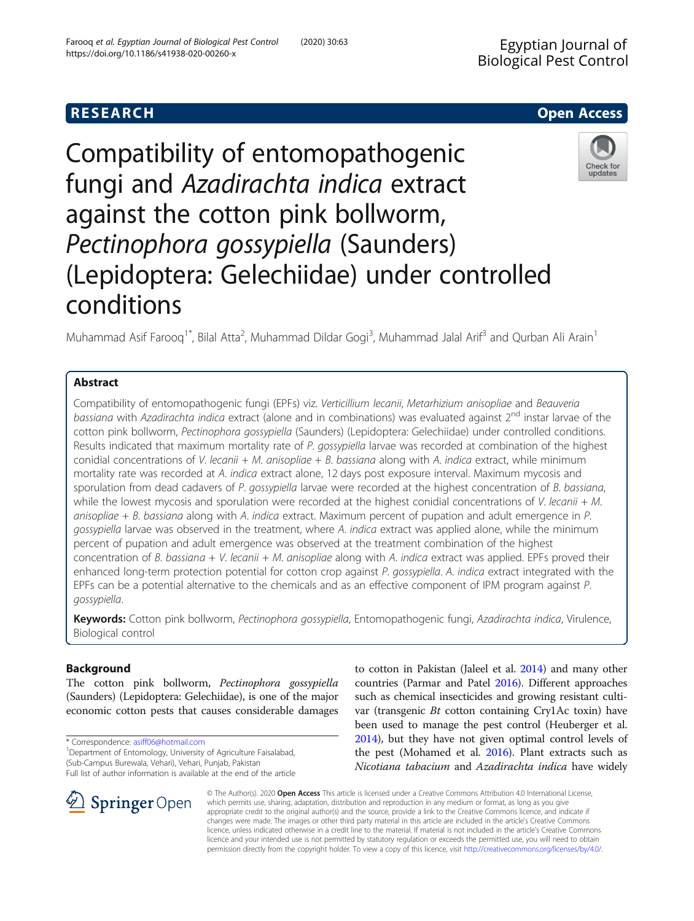# Compatibility of entomopathogenic fungi and Azadirachta indica extract against the cotton pink bollworm, Pectinophora gossypiella (Saunders) (Lepidoptera: Gelechiidae) under controlled conditions

Muhammad Asif Farooq<sup>1\*</sup>, Bilal Atta<sup>2</sup>, Muhammad Dildar Gogi<sup>3</sup>, Muhammad Jalal Arif<sup>3</sup> and Qurban Ali Arain<sup>1</sup>

# Abstract

Compatibility of entomopathogenic fungi (EPFs) viz. Verticillium lecanii, Metarhizium anisopliae and Beauveria bassiana with Azadirachta indica extract (alone and in combinations) was evaluated against 2<sup>nd</sup> instar larvae of the cotton pink bollworm, Pectinophora gossypiella (Saunders) (Lepidoptera: Gelechiidae) under controlled conditions. Results indicated that maximum mortality rate of P. gossypiella larvae was recorded at combination of the highest conidial concentrations of V. lecanii + M. anisopliae + B. bassiana along with A. indica extract, while minimum mortality rate was recorded at A. indica extract alone, 12 days post exposure interval. Maximum mycosis and sporulation from dead cadavers of P. gossypiella larvae were recorded at the highest concentration of B. bassiana, while the lowest mycosis and sporulation were recorded at the highest conidial concentrations of V. lecanii  $+ M$ . anisopliae  $+ B$ . bassiana along with A. indica extract. Maximum percent of pupation and adult emergence in P. gossypiella larvae was observed in the treatment, where A. indica extract was applied alone, while the minimum percent of pupation and adult emergence was observed at the treatment combination of the highest concentration of B. bassiana + V. lecanii + M. anisopliae along with A. indica extract was applied. EPFs proved their enhanced long-term protection potential for cotton crop against P. gossypiella. A. indica extract integrated with the EPFs can be a potential alternative to the chemicals and as an effective component of IPM program against P. gossypiella.

Keywords: Cotton pink bollworm, Pectinophora gossypiella, Entomopathogenic fungi, Azadirachta indica, Virulence, Biological control

# Background

The cotton pink bollworm, Pectinophora gossypiella (Saunders) (Lepidoptera: Gelechiidae), is one of the major economic cotton pests that causes considerable damages

\* Correspondence: [asiff06@hotmail.com](mailto:asiff06@hotmail.com) <sup>1</sup>

SpringerOpen

<sup>1</sup> Department of Entomology, University of Agriculture Faisalabad, (Sub-Campus Burewala, Vehari), Vehari, Punjab, Pakistan Full list of author information is available at the end of the article to cotton in Pakistan (Jaleel et al. [2014\)](#page-5-0) and many other countries (Parmar and Patel [2016](#page-5-0)). Different approaches such as chemical insecticides and growing resistant cultivar (transgenic Bt cotton containing Cry1Ac toxin) have been used to manage the pest control (Heuberger et al. [2014\)](#page-5-0), but they have not given optimal control levels of the pest (Mohamed et al. [2016\)](#page-5-0). Plant extracts such as Nicotiana tabacium and Azadirachta indica have widely

© The Author(s). 2020 Open Access This article is licensed under a Creative Commons Attribution 4.0 International License, which permits use, sharing, adaptation, distribution and reproduction in any medium or format, as long as you give appropriate credit to the original author(s) and the source, provide a link to the Creative Commons licence, and indicate if changes were made. The images or other third party material in this article are included in the article's Creative Commons licence, unless indicated otherwise in a credit line to the material. If material is not included in the article's Creative Commons licence and your intended use is not permitted by statutory regulation or exceeds the permitted use, you will need to obtain permission directly from the copyright holder. To view a copy of this licence, visit <http://creativecommons.org/licenses/by/4.0/>.



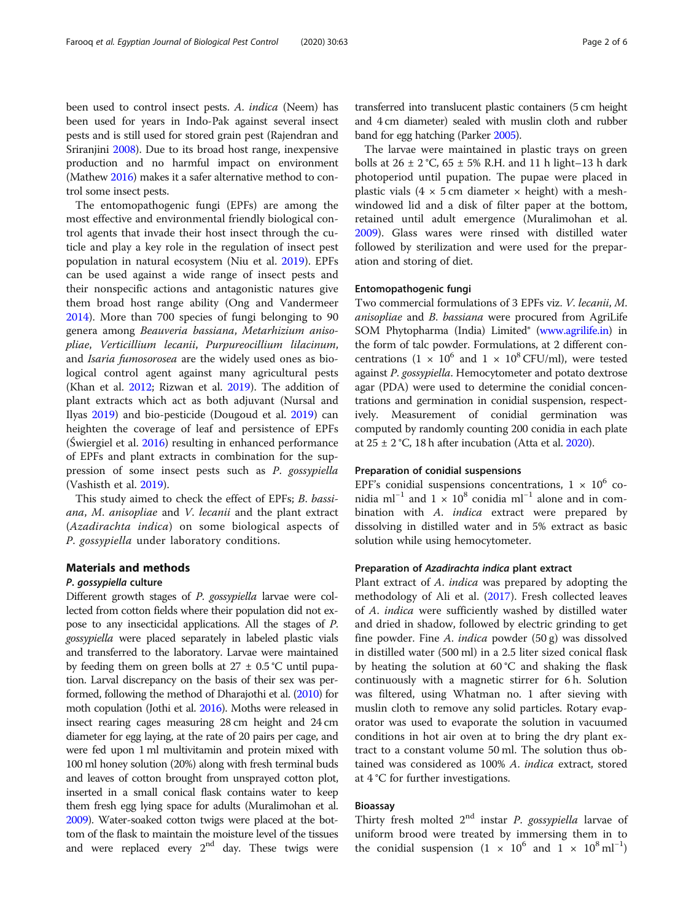been used to control insect pests. A. indica (Neem) has been used for years in Indo-Pak against several insect pests and is still used for stored grain pest (Rajendran and Sriranjini [2008](#page-5-0)). Due to its broad host range, inexpensive production and no harmful impact on environment (Mathew [2016](#page-5-0)) makes it a safer alternative method to control some insect pests.

The entomopathogenic fungi (EPFs) are among the most effective and environmental friendly biological control agents that invade their host insect through the cuticle and play a key role in the regulation of insect pest population in natural ecosystem (Niu et al. [2019](#page-5-0)). EPFs can be used against a wide range of insect pests and their nonspecific actions and antagonistic natures give them broad host range ability (Ong and Vandermeer [2014](#page-5-0)). More than 700 species of fungi belonging to 90 genera among Beauveria bassiana, Metarhizium anisopliae, Verticillium lecanii, Purpureocillium lilacinum, and Isaria fumosorosea are the widely used ones as biological control agent against many agricultural pests (Khan et al. [2012](#page-5-0); Rizwan et al. [2019\)](#page-5-0). The addition of plant extracts which act as both adjuvant (Nursal and Ilyas [2019\)](#page-5-0) and bio-pesticide (Dougoud et al. [2019](#page-5-0)) can heighten the coverage of leaf and persistence of EPFs (Świergiel et al. [2016\)](#page-5-0) resulting in enhanced performance of EPFs and plant extracts in combination for the suppression of some insect pests such as P. gossypiella (Vashisth et al. [2019](#page-5-0)).

This study aimed to check the effect of EPFs; B. bassiana, M. anisopliae and V. lecanii and the plant extract (Azadirachta indica) on some biological aspects of P. gossypiella under laboratory conditions.

# Materials and methods

#### P. gossypiella culture

Different growth stages of P. gossypiella larvae were collected from cotton fields where their population did not expose to any insecticidal applications. All the stages of P. gossypiella were placed separately in labeled plastic vials and transferred to the laboratory. Larvae were maintained by feeding them on green bolls at  $27 \pm 0.5$  °C until pupation. Larval discrepancy on the basis of their sex was performed, following the method of Dharajothi et al. ([2010\)](#page-5-0) for moth copulation (Jothi et al. [2016](#page-5-0)). Moths were released in insect rearing cages measuring 28 cm height and 24 cm diameter for egg laying, at the rate of 20 pairs per cage, and were fed upon 1 ml multivitamin and protein mixed with 100 ml honey solution (20%) along with fresh terminal buds and leaves of cotton brought from unsprayed cotton plot, inserted in a small conical flask contains water to keep them fresh egg lying space for adults (Muralimohan et al. [2009\)](#page-5-0). Water-soaked cotton twigs were placed at the bottom of the flask to maintain the moisture level of the tissues and were replaced every  $2<sup>nd</sup>$  day. These twigs were

transferred into translucent plastic containers (5 cm height and 4 cm diameter) sealed with muslin cloth and rubber band for egg hatching (Parker [2005\)](#page-5-0).

The larvae were maintained in plastic trays on green bolls at  $26 \pm 2$  °C,  $65 \pm 5$ % R.H. and 11 h light–13 h dark photoperiod until pupation. The pupae were placed in plastic vials (4  $\times$  5 cm diameter  $\times$  height) with a meshwindowed lid and a disk of filter paper at the bottom, retained until adult emergence (Muralimohan et al. [2009](#page-5-0)). Glass wares were rinsed with distilled water followed by sterilization and were used for the preparation and storing of diet.

## Entomopathogenic fungi

Two commercial formulations of 3 EPFs viz. V. lecanii, M. anisopliae and B. bassiana were procured from AgriLife SOM Phytopharma (India) Limited® [\(www.agrilife.in\)](http://www.agrilife.in) in the form of talc powder. Formulations, at 2 different concentrations  $(1 \times 10^6$  and  $1 \times 10^8$  CFU/ml), were tested against P. gossypiella. Hemocytometer and potato dextrose agar (PDA) were used to determine the conidial concentrations and germination in conidial suspension, respectively. Measurement of conidial germination was computed by randomly counting 200 conidia in each plate at  $25 \pm 2$  °C, 18 h after incubation (Atta et al. [2020](#page-5-0)).

### Preparation of conidial suspensions

EPF's conidial suspensions concentrations,  $1 \times 10^6$  conidia ml<sup>-1</sup> and 1 × 10<sup>8</sup> conidia ml<sup>-1</sup> alone and in combination with A. *indica* extract were prepared by dissolving in distilled water and in 5% extract as basic solution while using hemocytometer.

#### Preparation of Azadirachta indica plant extract

Plant extract of A. indica was prepared by adopting the methodology of Ali et al. ([2017](#page-5-0)). Fresh collected leaves of A. indica were sufficiently washed by distilled water and dried in shadow, followed by electric grinding to get fine powder. Fine A. indica powder (50 g) was dissolved in distilled water (500 ml) in a 2.5 liter sized conical flask by heating the solution at 60 °C and shaking the flask continuously with a magnetic stirrer for 6 h. Solution was filtered, using Whatman no. 1 after sieving with muslin cloth to remove any solid particles. Rotary evaporator was used to evaporate the solution in vacuumed conditions in hot air oven at to bring the dry plant extract to a constant volume 50 ml. The solution thus obtained was considered as 100% A. indica extract, stored at 4 °C for further investigations.

# Bioassay

Thirty fresh molted  $2<sup>nd</sup>$  instar *P. gossypiella* larvae of uniform brood were treated by immersing them in to the conidial suspension  $(1 \times 10^6$  and  $1 \times 10^8$  ml<sup>-1</sup>)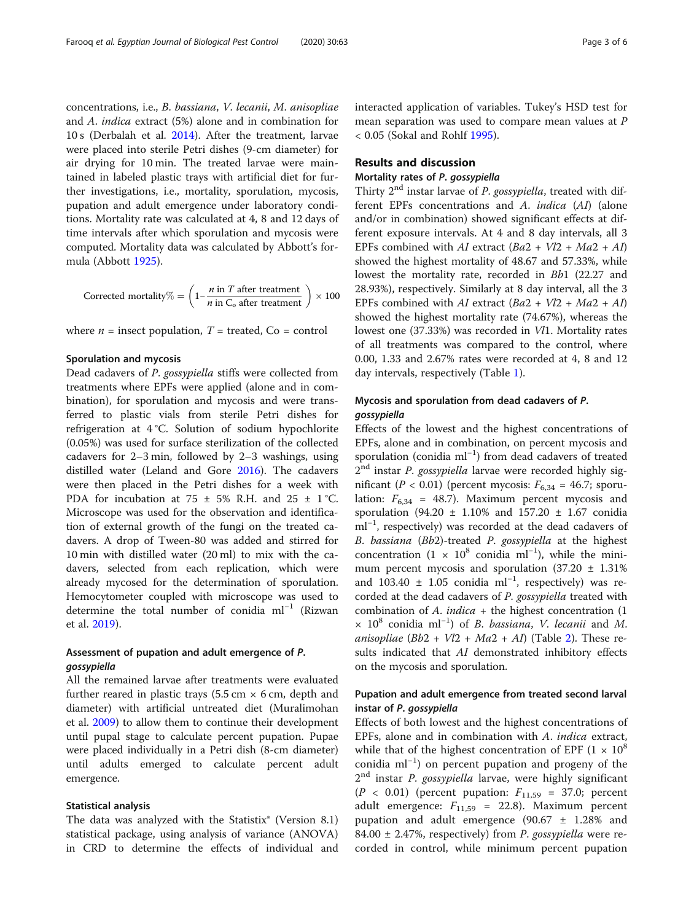concentrations, i.e., B. bassiana, V. lecanii, M. anisopliae and A. indica extract (5%) alone and in combination for 10 s (Derbalah et al. [2014\)](#page-5-0). After the treatment, larvae were placed into sterile Petri dishes (9-cm diameter) for air drying for 10 min. The treated larvae were maintained in labeled plastic trays with artificial diet for further investigations, i.e., mortality, sporulation, mycosis, pupation and adult emergence under laboratory conditions. Mortality rate was calculated at 4, 8 and 12 days of time intervals after which sporulation and mycosis were computed. Mortality data was calculated by Abbott's formula (Abbott [1925](#page-5-0)).

Corrected mortality% = 
$$
\left(1 - \frac{n \text{ in } T \text{ after treatment}}{n \text{ in } C_0 \text{ after treatment}}\right) \times 100
$$

where  $n =$  insect population,  $T =$  treated,  $Co =$  control

#### Sporulation and mycosis

Dead cadavers of P. gossypiella stiffs were collected from treatments where EPFs were applied (alone and in combination), for sporulation and mycosis and were transferred to plastic vials from sterile Petri dishes for refrigeration at 4 °C. Solution of sodium hypochlorite (0.05%) was used for surface sterilization of the collected cadavers for 2–3 min, followed by 2–3 washings, using distilled water (Leland and Gore [2016\)](#page-5-0). The cadavers were then placed in the Petri dishes for a week with PDA for incubation at 75  $\pm$  5% R.H. and 25  $\pm$  1 °C. Microscope was used for the observation and identification of external growth of the fungi on the treated cadavers. A drop of Tween-80 was added and stirred for 10 min with distilled water (20 ml) to mix with the cadavers, selected from each replication, which were already mycosed for the determination of sporulation. Hemocytometer coupled with microscope was used to determine the total number of conidia ml−<sup>1</sup> (Rizwan et al. [2019\)](#page-5-0).

# Assessment of pupation and adult emergence of P. gossypiella

All the remained larvae after treatments were evaluated further reared in plastic trays  $(5.5 \text{ cm} \times 6 \text{ cm})$ , depth and diameter) with artificial untreated diet (Muralimohan et al. [2009](#page-5-0)) to allow them to continue their development until pupal stage to calculate percent pupation. Pupae were placed individually in a Petri dish (8-cm diameter) until adults emerged to calculate percent adult emergence.

#### Statistical analysis

The data was analyzed with the Statistix® (Version 8.1) statistical package, using analysis of variance (ANOVA) in CRD to determine the effects of individual and interacted application of variables. Tukey's HSD test for mean separation was used to compare mean values at P < 0.05 (Sokal and Rohlf [1995](#page-5-0)).

# Results and discussion

# Mortality rates of P. gossypiella

Thirty  $2<sup>nd</sup>$  instar larvae of *P. gossypiella*, treated with different EPFs concentrations and A. indica (AI) (alone and/or in combination) showed significant effects at different exposure intervals. At 4 and 8 day intervals, all 3 EPFs combined with AI extract  $(Ba2 + Vl2 + Ma2 + Al)$ showed the highest mortality of 48.67 and 57.33%, while lowest the mortality rate, recorded in Bb1 (22.27 and 28.93%), respectively. Similarly at 8 day interval, all the 3 EPFs combined with AI extract  $(Ba2 + Vl2 + Ma2 + AI)$ showed the highest mortality rate (74.67%), whereas the lowest one (37.33%) was recorded in Vl1. Mortality rates of all treatments was compared to the control, where 0.00, 1.33 and 2.67% rates were recorded at 4, 8 and 12 day intervals, respectively (Table [1\)](#page-3-0).

# Mycosis and sporulation from dead cadavers of P. gossypiella

Effects of the lowest and the highest concentrations of EPFs, alone and in combination, on percent mycosis and sporulation (conidia ml−<sup>1</sup> ) from dead cadavers of treated  $2<sup>nd</sup>$  instar *P. gossypiella* larvae were recorded highly significant ( $P < 0.01$ ) (percent mycosis:  $F_{6,34} = 46.7$ ; sporulation:  $F_{6,34}$  = 48.7). Maximum percent mycosis and sporulation (94.20 ± 1.10% and 157.20 ± 1.67 conidia ml<sup>-1</sup>, respectively) was recorded at the dead cadavers of B. bassiana (Bb2)-treated P. gossypiella at the highest concentration (1 ×  $10^8$  conidia ml<sup>-1</sup>), while the minimum percent mycosis and sporulation  $(37.20 \pm 1.31\%)$ and 103.40 ± 1.05 conidia ml−<sup>1</sup> , respectively) was recorded at the dead cadavers of P. gossypiella treated with combination of  $A.$  indica + the highest concentration  $(1)$ × 10<sup>8</sup> conidia ml−<sup>1</sup> ) of B. bassiana, V. lecanii and M. anisopliae  $(Bb2 + Vl2 + Ma2 + AI)$  $(Bb2 + Vl2 + Ma2 + AI)$  $(Bb2 + Vl2 + Ma2 + AI)$  (Table 2). These results indicated that AI demonstrated inhibitory effects on the mycosis and sporulation.

# Pupation and adult emergence from treated second larval instar of P. gossypiella

Effects of both lowest and the highest concentrations of EPFs, alone and in combination with A. indica extract, while that of the highest concentration of EPF  $(1 \times 10^8)$ conidia ml−<sup>1</sup> ) on percent pupation and progeny of the  $2<sup>nd</sup>$  instar *P. gossypiella* larvae, were highly significant  $(P < 0.01)$  (percent pupation:  $F_{11,59} = 37.0$ ; percent adult emergence:  $F_{11,59}$  = 22.8). Maximum percent pupation and adult emergence (90.67 ± 1.28% and 84.00  $\pm$  2.47%, respectively) from P. gossypiella were recorded in control, while minimum percent pupation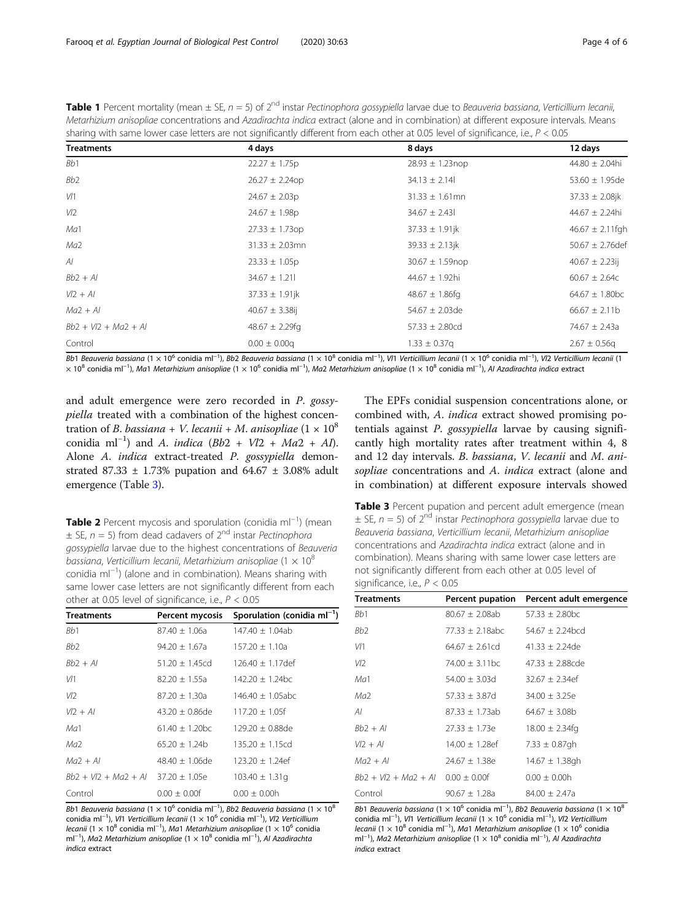<span id="page-3-0"></span>

| <b>Table 1</b> Percent mortality (mean ± SE, n = 5) of 2 <sup>nd</sup> instar Pectinophora gossypiella larvae due to Beauveria bassiana, Verticillium lecanii, |
|----------------------------------------------------------------------------------------------------------------------------------------------------------------|
| Metarhizium anisopliae concentrations and Azadirachta indica extract (alone and in combination) at different exposure intervals. Means                         |
| sharing with same lower case letters are not significantly different from each other at 0.05 level of significance, i.e., P < 0.05                             |

| <b>Treatments</b>      | 4 days              | 8 days               | 12 days                        |
|------------------------|---------------------|----------------------|--------------------------------|
| Bb1                    | $22.27 \pm 1.75p$   | $28.93 \pm 1.23$ nop | $44.80 \pm 2.04$ hi            |
| Bb <sub>2</sub>        | $26.27 \pm 2.24$ op | $34.13 \pm 2.14$     | $53.60 \pm 1.95$ de            |
| V/1                    | $24.67 \pm 2.03p$   | $31.33 \pm 1.61$ mn  | $37.33 \pm 2.08$ jk            |
| V/2                    | $24.67 \pm 1.98p$   | $34.67 \pm 2.43$     | $44.67 \pm 2.24$ hi            |
| Ma1                    | $27.33 \pm 1.73$ op | $37.33 \pm 1.91$ jk  | $46.67 \pm 2.11$ fgh           |
| Ma <sub>2</sub>        | $31.33 \pm 2.03$ mn | $39.33 \pm 2.13$ jk  | $50.67 \pm 2.76$ def           |
| Al                     | $23.33 \pm 1.05p$   | $30.67 \pm 1.59$ nop | $40.67 \pm 2.23$ ij            |
| $Bb2 + Al$             | $34.67 \pm 1.21$    | 44.67 ± 1.92hi       | $60.67 \pm 2.64c$              |
| $V/2 + Al$             | $37.33 \pm 1.91$ jk | 48.67 $\pm$ 1.86fg   | $64.67 \pm 1.80$ <sub>bc</sub> |
| $Ma2 + Al$             | $40.67 \pm 3.38$ ij | $54.67 \pm 2.03$ de  | $66.67 \pm 2.11b$              |
| $Bb2 + V/2 + Ma2 + Al$ | $48.67 \pm 2.29$ fg | $57.33 \pm 2.80cd$   | $74.67 \pm 2.43a$              |
| Control                | $0.00 \pm 0.00q$    | $1.33 \pm 0.37$ g    | $2.67 \pm 0.56q$               |

Bb1 Beauveria bassiana (1 × 10<sup>6</sup> conidia ml<sup>−1</sup>), Bb2 Beauveria bassiana (1 × 10<sup>8</sup> conidia ml<sup>−1</sup>), V/1 Verticillium lecanii (1 × 10<sup>6</sup> conidia ml<sup>−1</sup>), V/2 Verticillium lecanii (1 × 10<sup>8</sup> conidia ml<sup>−1</sup>), Ma1 Metarhizium anisopliae (1 × 10<sup>6</sup> conidia ml<sup>−1</sup>), Ma2 Metarhizium anisopliae (1 × 10<sup>8</sup> conidia ml<sup>−1</sup>), Al Azadirachta indica extract

and adult emergence were zero recorded in P. gossypiella treated with a combination of the highest concentration of B. bassiana + V. lecanii + M. anisopliae  $(1 \times 10^8)$ conidia ml<sup>-1</sup>) and A. indica (Bb2 + Vl2 + Ma2 + AI). Alone A. indica extract-treated P. gossypiella demonstrated 87.33  $\pm$  1.73% pupation and 64.67  $\pm$  3.08% adult emergence (Table 3).

Table 2 Percent mycosis and sporulation (conidia ml<sup>−1</sup>) (mean  $\pm$  SE, n = 5) from dead cadavers of 2<sup>nd</sup> instar *Pectinophora* gossypiella larvae due to the highest concentrations of Beauveria bassiana, Verticillium lecanii, Metarhizium anisopliae (1  $\times$  10<sup>8</sup> conidia ml−<sup>1</sup> ) (alone and in combination). Means sharing with same lower case letters are not significantly different from each other at 0.05 level of significance, i.e.,  $P < 0.05$ 

| <b>Treatments</b>                    | Percent mycosis     | Sporulation (conidia $ml^{-1}$ ) |
|--------------------------------------|---------------------|----------------------------------|
| B <sub>b</sub> 1                     | $87.40 + 1.06a$     | $147.40 + 1.04ab$                |
| Bb2                                  | $94.20 + 1.67a$     | $157.20 + 1.10a$                 |
| $Bb2 + Al$                           | $51.20 + 1.45cd$    | $126.40 + 1.17$ def              |
| V/1                                  | 82.20 ± 1.55a       | $142.20 + 1.24$ <sub>bc</sub>    |
| VD.                                  | 87.20 + 1.30a       | $146.40 + 1.05$ abc              |
| $V12 + Al$                           | $43.20 \pm 0.86$ de | $117.20 + 1.05f$                 |
| Ma1                                  | $61.40 + 1.20$ bc   | $129.20 + 0.88$ de               |
| Ма2                                  | $65.20 + 1.24b$     | $135.20 + 1.15cd$                |
| $Ma2 + Al$                           | $48.40 + 1.06$ de   | $123.20 + 1.24$ ef               |
| $Bb2 + V/2 + Ma2 + Al$ 37.20 ± 1.05e |                     | $103.40 \pm 1.31q$               |
| Control                              | $0.00 + 0.00f$      | $0.00 + 0.00h$                   |

Bb1 Beauveria bassiana (1  $\times$  10<sup>6</sup> conidia ml<sup>−1</sup>), Bb2 Beauveria bassiana (1  $\times$  10<sup>8</sup> conidia ml<sup>−1</sup>), V/1 Verticillium lecanii (1 × 10<sup>6</sup> conidia ml<sup>−1</sup>), V/2 Verticillium lecanii (1 × 10 $^8$  conidia ml $^{-1}$ ), Ma1 Metarhizium anisopliae (1 × 10 $^6$  conidia ml<sup>−1</sup>), Ma2 Metarhizium anisopliae (1 × 10<sup>8</sup> conidia ml<sup>−1</sup>), Al Azadirachta indica extract

The EPFs conidial suspension concentrations alone, or combined with, A. indica extract showed promising potentials against P. gossypiella larvae by causing significantly high mortality rates after treatment within 4, 8 and 12 day intervals. B. bassiana, V. lecanii and M. anisopliae concentrations and A. indica extract (alone and in combination) at different exposure intervals showed

Table 3 Percent pupation and percent adult emergence (mean  $\pm$  SE, n = 5) of 2<sup>nd</sup> instar *Pectinophora gossypiella* larvae due to Beauveria bassiana, Verticillium lecanii, Metarhizium anisopliae concentrations and Azadirachta indica extract (alone and in combination). Means sharing with same lower case letters are not significantly different from each other at 0.05 level of significance, i.e.,  $P < 0.05$ 

| <b>Treatments</b>                   | Percent pupation    | Percent adult emergence |
|-------------------------------------|---------------------|-------------------------|
| Bb1                                 | $80.67 \pm 2.08ab$  | $57.33 \pm 2.80$ bc     |
| Bb2                                 | $77.33 \pm 2.18abc$ | $54.67 + 2.24$ bcd      |
| V/1                                 | $64.67 \pm 2.61$ cd | $41.33 \pm 2.24$ de     |
| VD.                                 | 74.00 + 3.11 bc     | $47.33 + 2.88$ cde      |
| Ma1                                 | $54.00 \pm 3.03$ d  | $32.67 \pm 2.34$ ef     |
| Ma <sup>2</sup>                     | 57.33 ± 3.87d       | $34.00 \pm 3.25e$       |
| ΑI                                  | $87.33 \pm 1.73ab$  | $64.67 \pm 3.08b$       |
| $Bb2 + Al$                          | $27.33 \pm 1.73e$   | $18.00 \pm 2.34$ fg     |
| $V12 + AI$                          | $14.00 \pm 1.28$ ef | 7.33 $\pm$ 0.87gh       |
| $Ma2 + Al$                          | $24.67 \pm 1.38$ e  | $14.67 \pm 1.38$ gh     |
| $Bb2 + V/2 + Ma2 + Al$ 0.00 ± 0.00f |                     | $0.00 \pm 0.00h$        |
| Control                             | $90.67 \pm 1.28a$   | $84.00 + 2.47a$         |

Bb1 Beauveria bassiana (1 × 10<sup>6</sup> conidia ml<sup>-1</sup>), Bb2 Beauveria bassiana (1 × 10<sup>8</sup>) conidia ml<sup>-1</sup>), V/1 Verticillium lecanii (1 × 10<sup>6</sup> conidia ml<sup>-1</sup>), V/2 Verticillium lecanii (1 × 10<sup>8</sup> conidia ml<sup>-1</sup>), Ma1 Metarhizium anisopliae (1 × 10<sup>6</sup> conidia ml<sup>-1</sup>), Ma2 Metarhizium anisopliae (1 × 10<sup>8</sup> conidia ml<sup>-1</sup>), Al Azadirachta indica extract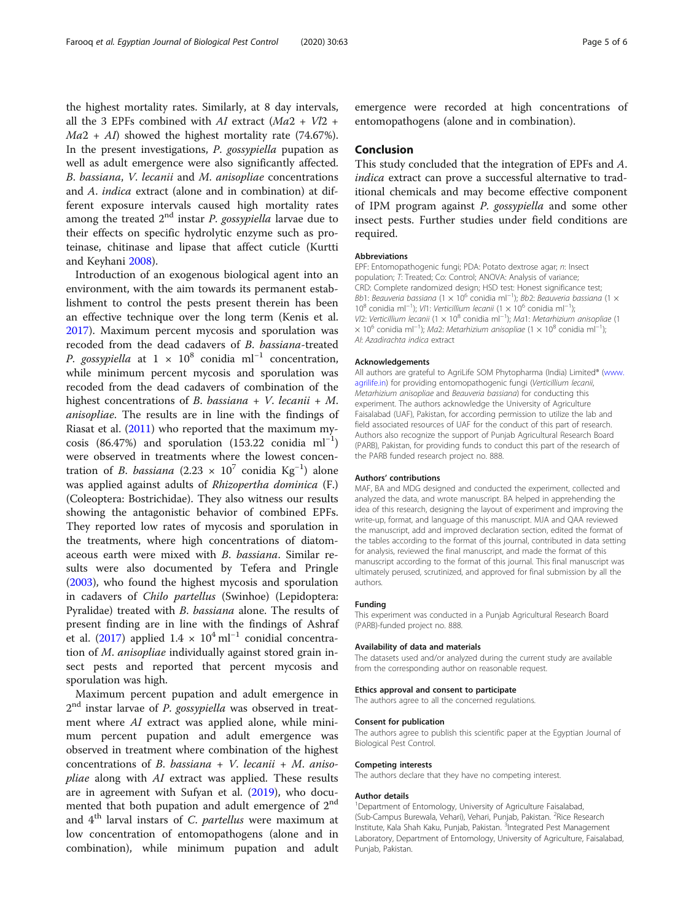the highest mortality rates. Similarly, at 8 day intervals, all the 3 EPFs combined with AI extract ( $Ma2 + Vl2 +$  $Ma2 + AI$ ) showed the highest mortality rate (74.67%). In the present investigations, P. gossypiella pupation as well as adult emergence were also significantly affected. B. bassiana, V. lecanii and M. anisopliae concentrations and A. indica extract (alone and in combination) at different exposure intervals caused high mortality rates among the treated  $2<sup>nd</sup>$  instar *P. gossypiella* larvae due to their effects on specific hydrolytic enzyme such as proteinase, chitinase and lipase that affect cuticle (Kurtti and Keyhani [2008](#page-5-0)).

Introduction of an exogenous biological agent into an environment, with the aim towards its permanent establishment to control the pests present therein has been an effective technique over the long term (Kenis et al. [2017](#page-5-0)). Maximum percent mycosis and sporulation was recoded from the dead cadavers of B. bassiana-treated P. gossypiella at 1 × 10<sup>8</sup> conidia ml<sup>-1</sup> concentration, while minimum percent mycosis and sporulation was recoded from the dead cadavers of combination of the highest concentrations of B. bassiana + V. lecanii + M. anisopliae. The results are in line with the findings of Riasat et al. [\(2011\)](#page-5-0) who reported that the maximum mycosis (86.47%) and sporulation (153.22 conidia ml<sup>-1</sup>) were observed in treatments where the lowest concentration of *B. bassiana* (2.23 ×  $10^7$  conidia Kg<sup>-1</sup>) alone was applied against adults of Rhizopertha dominica (F.) (Coleoptera: Bostrichidae). They also witness our results showing the antagonistic behavior of combined EPFs. They reported low rates of mycosis and sporulation in the treatments, where high concentrations of diatomaceous earth were mixed with B. bassiana. Similar results were also documented by Tefera and Pringle ([2003](#page-5-0)), who found the highest mycosis and sporulation in cadavers of Chilo partellus (Swinhoe) (Lepidoptera: Pyralidae) treated with B. bassiana alone. The results of present finding are in line with the findings of Ashraf et al. ([2017\)](#page-5-0) applied  $1.4 \times 10^4$  ml<sup>-1</sup> conidial concentration of M. anisopliae individually against stored grain insect pests and reported that percent mycosis and sporulation was high.

Maximum percent pupation and adult emergence in  $2<sup>nd</sup>$  instar larvae of *P. gossypiella* was observed in treatment where AI extract was applied alone, while minimum percent pupation and adult emergence was observed in treatment where combination of the highest concentrations of B. bassiana + V. lecanii + M. anisopliae along with AI extract was applied. These results are in agreement with Sufyan et al. ([2019\)](#page-5-0), who documented that both pupation and adult emergence of  $2<sup>nd</sup>$ and  $4<sup>th</sup>$  larval instars of C. partellus were maximum at low concentration of entomopathogens (alone and in combination), while minimum pupation and adult emergence were recorded at high concentrations of entomopathogens (alone and in combination).

#### Conclusion

This study concluded that the integration of EPFs and A. indica extract can prove a successful alternative to traditional chemicals and may become effective component of IPM program against P. gossypiella and some other insect pests. Further studies under field conditions are required.

#### Abbreviations

EPF: Entomopathogenic fungi; PDA: Potato dextrose agar; n: Insect population; T: Treated; Co: Control; ANOVA: Analysis of variance; CRD: Complete randomized design; HSD test: Honest significance test; Bb1: Beauveria bassiana (1 × 10<sup>6</sup> conidia ml<sup>-1</sup>); Bb2: Beauveria bassiana (1 × 10<sup>8</sup> conidia ml<sup>-1</sup>); V/1: Verticillium lecanii (1 × 10<sup>6</sup> conidia ml<sup>-1</sup>); VI2: Verticillium lecanii (1 × 10<sup>8</sup> conidia ml<sup>-1</sup>); Ma1: Metarhizium anisopliae (1 × 10<sup>6</sup> conidia ml<sup>−1</sup>); Ma2: Metarhizium anisopliae (1 × 10<sup>8</sup> conidia ml<sup>−1</sup>); AI: Azadirachta indica extract

#### Acknowledgements

All authors are grateful to AgriLife SOM Phytopharma (India) Limited® ([www.](http://www.agrilife.in) [agrilife.in](http://www.agrilife.in)) for providing entomopathogenic fungi (Verticillium lecanii, Metarhizium anisopliae and Beauveria bassiana) for conducting this experiment. The authors acknowledge the University of Agriculture Faisalabad (UAF), Pakistan, for according permission to utilize the lab and field associated resources of UAF for the conduct of this part of research. Authors also recognize the support of Punjab Agricultural Research Board (PARB), Pakistan, for providing funds to conduct this part of the research of the PARB funded research project no. 888.

#### Authors' contributions

MAF, BA and MDG designed and conducted the experiment, collected and analyzed the data, and wrote manuscript. BA helped in apprehending the idea of this research, designing the layout of experiment and improving the write-up, format, and language of this manuscript. MJA and QAA reviewed the manuscript, add and improved declaration section, edited the format of the tables according to the format of this journal, contributed in data setting for analysis, reviewed the final manuscript, and made the format of this manuscript according to the format of this journal. This final manuscript was ultimately perused, scrutinized, and approved for final submission by all the authors.

#### Funding

This experiment was conducted in a Punjab Agricultural Research Board (PARB)-funded project no. 888.

#### Availability of data and materials

The datasets used and/or analyzed during the current study are available from the corresponding author on reasonable request.

#### Ethics approval and consent to participate

The authors agree to all the concerned regulations.

#### Consent for publication

The authors agree to publish this scientific paper at the Egyptian Journal of Biological Pest Control.

#### Competing interests

The authors declare that they have no competing interest.

#### Author details

<sup>1</sup>Department of Entomology, University of Agriculture Faisalabad, (Sub-Campus Burewala, Vehari), Vehari, Punjab, Pakistan. <sup>2</sup>Rice Research Institute, Kala Shah Kaku, Punjab, Pakistan. <sup>3</sup>Integrated Pest Management Laboratory, Department of Entomology, University of Agriculture, Faisalabad, Punjab, Pakistan.